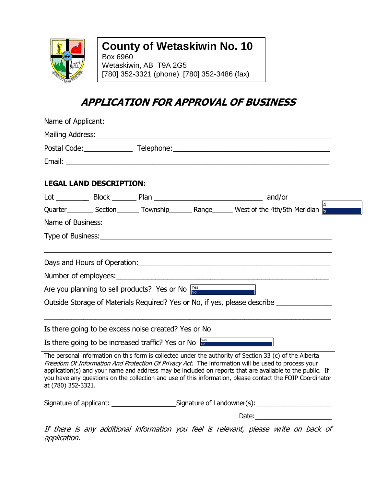

application.

## **County of Wetaskiwin No. 10**

Box 6960 Wetaskiwin, AB T9A 2G5 [780] 352-3321 (phone) [780] 352-3486 (fax)

## **APPLICATION FOR APPROVAL OF BUSINESS**

|                                | Name of Applicant: Name of Applicant Control of Applicant Control of Applicant Control of Applicant Control of Applicant Control of Applicant Control of Applicant Control of Applicant Control of Applicant Control of Applic                                                                                                                                                                                                         |
|--------------------------------|----------------------------------------------------------------------------------------------------------------------------------------------------------------------------------------------------------------------------------------------------------------------------------------------------------------------------------------------------------------------------------------------------------------------------------------|
|                                | Mailing Address: National Address: National Address: National Address: National Address: National Address: National Address: National Address: National Address: National Address: National Address: National Address: Nationa                                                                                                                                                                                                         |
|                                | Postal Code: Telephone: Telephone: 2008                                                                                                                                                                                                                                                                                                                                                                                                |
|                                |                                                                                                                                                                                                                                                                                                                                                                                                                                        |
| <b>LEGAL LAND DESCRIPTION:</b> |                                                                                                                                                                                                                                                                                                                                                                                                                                        |
|                                |                                                                                                                                                                                                                                                                                                                                                                                                                                        |
|                                | Quarter____________ Section__________ Township__________ Range_________ West of the 4th/5th Meridian $\frac{4}{5}$                                                                                                                                                                                                                                                                                                                     |
|                                | Name of Business: 1999 and 2008 and 2009 and 2009 and 2009 and 2009 and 2009 and 2009 and 2009 and 2009 and 20                                                                                                                                                                                                                                                                                                                         |
|                                |                                                                                                                                                                                                                                                                                                                                                                                                                                        |
|                                |                                                                                                                                                                                                                                                                                                                                                                                                                                        |
|                                | Number of employees:                                                                                                                                                                                                                                                                                                                                                                                                                   |
|                                | <u> 1980 - Johann Barnett, fransk politiker (</u><br>Are you planning to sell products? Yes or No $\frac{V\text{es}}{N\Phi}$                                                                                                                                                                                                                                                                                                           |
|                                | Outside Storage of Materials Required? Yes or No, if yes, please describe _____________                                                                                                                                                                                                                                                                                                                                                |
|                                | Is there going to be excess noise created? Yes or No                                                                                                                                                                                                                                                                                                                                                                                   |
|                                | Is there going to be increased traffic? Yes or No $\frac{y_{\text{es}}}{y_{\text{so}}}$                                                                                                                                                                                                                                                                                                                                                |
| at (780) 352-3321.             | The personal information on this form is collected under the authority of Section 33 (c) of the Alberta<br>Freedom Of Information And Protection Of Privacy Act. The information will be used to process your<br>application(s) and your name and address may be included on reports that are available to the public. If<br>you have any questions on the collection and use of this information, please contact the FOIP Coordinator |
|                                | Signature of applicant: ___________________________Signature of Landowner(s): _____________________                                                                                                                                                                                                                                                                                                                                    |
|                                |                                                                                                                                                                                                                                                                                                                                                                                                                                        |
|                                | If there is any additional information you feel is relevant, please write on back of                                                                                                                                                                                                                                                                                                                                                   |